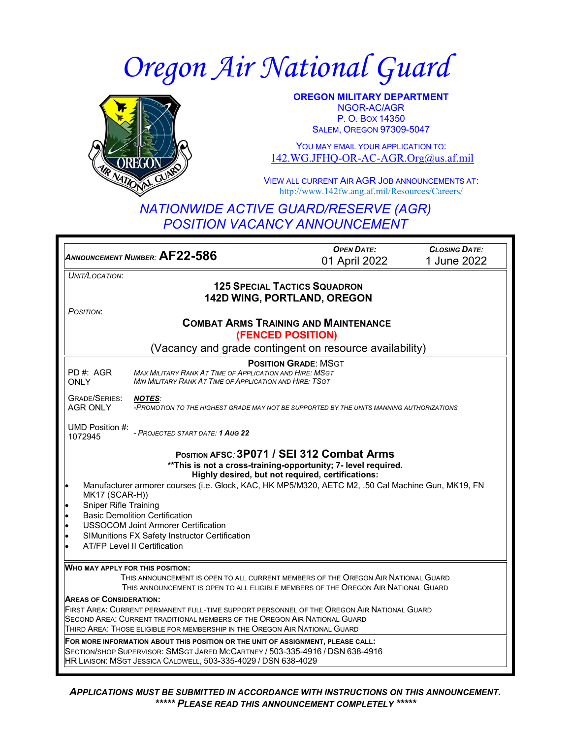# *Oregon Air National Guard*



**OREGON MILITARY DEPARTMENT** NGOR-AC/AGR P. O. BOX 14350 SALEM, OREGON 97309-5047

YOU MAY EMAIL YOUR APPLICATION TO: [142.WG.JFHQ-OR-AC-AGR.Org@us.af.mil](mailto:142.WG.JFHQ-OR-AC-AGR.Org@us.af.mil)

VIEW ALL CURRENT AIR AGR JOB ANNOUNCEMENTS AT: http://www.142fw.ang.af.mil/Resources/Careers/

### *NATIONWIDE ACTIVE GUARD/RESERVE (AGR) POSITION VACANCY ANNOUNCEMENT*

| ANNOUNCEMENT NUMBER: AF22-586                                                                                                                                                                                                      | <b>OPEN DATE:</b> | <b>CLOSING DATE:</b> |  |
|------------------------------------------------------------------------------------------------------------------------------------------------------------------------------------------------------------------------------------|-------------------|----------------------|--|
|                                                                                                                                                                                                                                    | 01 April 2022     | 1 June 2022          |  |
| UNIT/LOCATION:                                                                                                                                                                                                                     |                   |                      |  |
| <b>125 SPECIAL TACTICS SQUADRON</b>                                                                                                                                                                                                |                   |                      |  |
| 142D WING, PORTLAND, OREGON                                                                                                                                                                                                        |                   |                      |  |
| POSITION:                                                                                                                                                                                                                          |                   |                      |  |
| <b>COMBAT ARMS TRAINING AND MAINTENANCE</b><br>(FENCED POSITION)                                                                                                                                                                   |                   |                      |  |
| (Vacancy and grade contingent on resource availability)                                                                                                                                                                            |                   |                      |  |
| <b>POSITION GRADE: MSGT</b><br>PD#: AGR<br><b>MAX MILITARY RANK AT TIME OF APPLICATION AND HIRE: MSGT</b><br>MIN MILITARY RANK AT TIME OF APPLICATION AND HIRE: TSGT<br><b>ONLY</b>                                                |                   |                      |  |
| <b>GRADE/SERIES:</b><br><b>NOTES:</b><br><b>AGR ONLY</b><br>-PROMOTION TO THE HIGHEST GRADE MAY NOT BE SUPPORTED BY THE UNITS MANNING AUTHORIZATIONS                                                                               |                   |                      |  |
| UMD Position #:<br>- PROJECTED START DATE: 1 AUG 22<br>1072945                                                                                                                                                                     |                   |                      |  |
| POSITION AFSC: 3P071 / SEI 312 Combat Arms<br>** This is not a cross-training-opportunity; 7- level required.<br>Highly desired, but not required, certifications:                                                                 |                   |                      |  |
| Manufacturer armorer courses (i.e. Glock, KAC, HK MP5/M320, AETC M2, .50 Cal Machine Gun, MK19, FN<br>MK17 (SCAR-H))                                                                                                               |                   |                      |  |
| <b>Sniper Rifle Training</b><br><b>Basic Demolition Certification</b>                                                                                                                                                              |                   |                      |  |
| <b>USSOCOM Joint Armorer Certification</b>                                                                                                                                                                                         |                   |                      |  |
| SIMunitions FX Safety Instructor Certification<br>$\bullet$                                                                                                                                                                        |                   |                      |  |
| <b>AT/FP Level II Certification</b><br>$\bullet$                                                                                                                                                                                   |                   |                      |  |
| WHO MAY APPLY FOR THIS POSITION:                                                                                                                                                                                                   |                   |                      |  |
| THIS ANNOUNCEMENT IS OPEN TO ALL CURRENT MEMBERS OF THE OREGON AIR NATIONAL GUARD                                                                                                                                                  |                   |                      |  |
| THIS ANNOUNCEMENT IS OPEN TO ALL ELIGIBLE MEMBERS OF THE OREGON AIR NATIONAL GUARD                                                                                                                                                 |                   |                      |  |
| <b>AREAS OF CONSIDERATION:</b>                                                                                                                                                                                                     |                   |                      |  |
| FIRST AREA: CURRENT PERMANENT FULL-TIME SUPPORT PERSONNEL OF THE OREGON AIR NATIONAL GUARD<br>SECOND AREA: CURRENT TRADITIONAL MEMBERS OF THE OREGON AIR NATIONAL GUARD                                                            |                   |                      |  |
| THIRD AREA: THOSE ELIGIBLE FOR MEMBERSHIP IN THE OREGON AIR NATIONAL GUARD                                                                                                                                                         |                   |                      |  |
| FOR MORE INFORMATION ABOUT THIS POSITION OR THE UNIT OF ASSIGNMENT, PLEASE CALL:<br>SECTION/SHOP SUPERVISOR: SMSGT JARED MCCARTNEY / 503-335-4916 / DSN 638-4916<br>HR LIAISON: MSGT JESSICA CALDWELL, 503-335-4029 / DSN 638-4029 |                   |                      |  |

*APPLICATIONS MUST BE SUBMITTED IN ACCORDANCE WITH INSTRUCTIONS ON THIS ANNOUNCEMENT. \*\*\*\*\* PLEASE READ THIS ANNOUNCEMENT COMPLETELY \*\*\*\*\**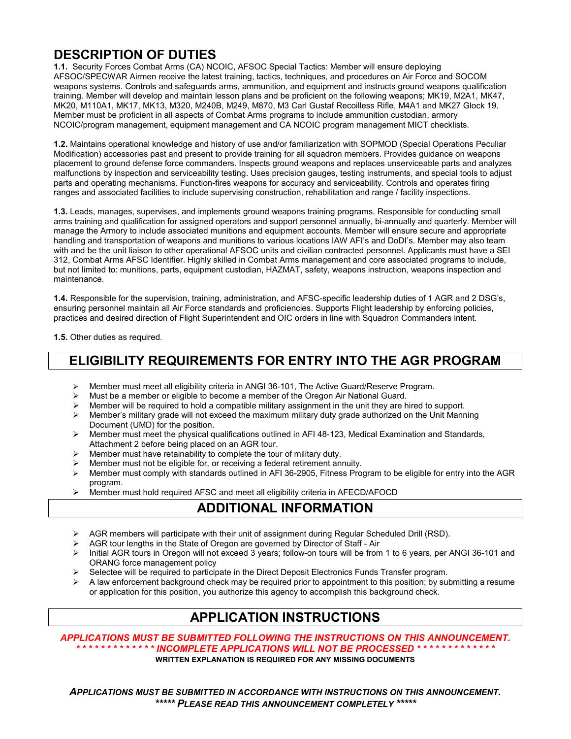## **DESCRIPTION OF DUTIES**

**1.1.** Security Forces Combat Arms (CA) NCOIC, AFSOC Special Tactics: Member will ensure deploying AFSOC/SPECWAR Airmen receive the latest training, tactics, techniques, and procedures on Air Force and SOCOM weapons systems. Controls and safeguards arms, ammunition, and equipment and instructs ground weapons qualification training. Member will develop and maintain lesson plans and be proficient on the following weapons; MK19, M2A1, MK47, MK20, M110A1, MK17, MK13, M320, M240B, M249, M870, M3 Carl Gustaf Recoilless Rifle, M4A1 and MK27 Glock 19. Member must be proficient in all aspects of Combat Arms programs to include ammunition custodian, armory NCOIC/program management, equipment management and CA NCOIC program management MICT checklists.

**1.2.** Maintains operational knowledge and history of use and/or familiarization with SOPMOD (Special Operations Peculiar Modification) accessories past and present to provide training for all squadron members. Provides guidance on weapons placement to ground defense force commanders. Inspects ground weapons and replaces unserviceable parts and analyzes malfunctions by inspection and serviceability testing. Uses precision gauges, testing instruments, and special tools to adjust parts and operating mechanisms. Function-fires weapons for accuracy and serviceability. Controls and operates firing ranges and associated facilities to include supervising construction, rehabilitation and range / facility inspections.

**1.3.** Leads, manages, supervises, and implements ground weapons training programs. Responsible for conducting small arms training and qualification for assigned operators and support personnel annually, bi-annually and quarterly. Member will manage the Armory to include associated munitions and equipment accounts. Member will ensure secure and appropriate handling and transportation of weapons and munitions to various locations IAW AFI's and DoDI's. Member may also team with and be the unit liaison to other operational AFSOC units and civilian contracted personnel. Applicants must have a SEI 312, Combat Arms AFSC Identifier. Highly skilled in Combat Arms management and core associated programs to include, but not limited to: munitions, parts, equipment custodian, HAZMAT, safety, weapons instruction, weapons inspection and maintenance.

**1.4.** Responsible for the supervision, training, administration, and AFSC-specific leadership duties of 1 AGR and 2 DSG's, ensuring personnel maintain all Air Force standards and proficiencies. Supports Flight leadership by enforcing policies, practices and desired direction of Flight Superintendent and OIC orders in line with Squadron Commanders intent.

**1.5.** Other duties as required.

## **ELIGIBILITY REQUIREMENTS FOR ENTRY INTO THE AGR PROGRAM**

- Member must meet all eligibility criteria in ANGI 36-101, The Active Guard/Reserve Program.
- $\triangleright$  Must be a member or eligible to become a member of the Oregon Air National Guard.
- Member will be required to hold a compatible military assignment in the unit they are hired to support.<br>Member's military grade will not exceed the maximum military duty grade authorized on the Unit Mann
- Member's military grade will not exceed the maximum military duty grade authorized on the Unit Manning Document (UMD) for the position.
- $\triangleright$  Member must meet the physical qualifications outlined in AFI 48-123, Medical Examination and Standards, Attachment 2 before being placed on an AGR tour.
- $\triangleright$  Member must have retainability to complete the tour of military duty.
- Member must not be eligible for, or receiving a federal retirement annuity.
- Member must comply with standards outlined in AFI 36-2905, Fitness Program to be eligible for entry into the AGR program.
- Member must hold required AFSC and meet all eligibility criteria in AFECD/AFOCD

#### **ADDITIONAL INFORMATION**

- ▶ AGR members will participate with their unit of assignment during Regular Scheduled Drill (RSD).
- $\triangleright$  AGR tour lengths in the State of Oregon are governed by Director of Staff Air
- ▶ Initial AGR tours in Oregon will not exceed 3 years; follow-on tours will be from 1 to 6 years, per ANGI 36-101 and ORANG force management policy
- Selectee will be required to participate in the Direct Deposit Electronics Funds Transfer program.
- A law enforcement background check may be required prior to appointment to this position; by submitting a resume or application for this position, you authorize this agency to accomplish this background check.

#### **APPLICATION INSTRUCTIONS**

*APPLICATIONS MUST BE SUBMITTED FOLLOWING THE INSTRUCTIONS ON THIS ANNOUNCEMENT. \* \* \* \* \* \* \* \* \* \* \* \* \* INCOMPLETE APPLICATIONS WILL NOT BE PROCESSED \* \* \* \* \* \* \* \* \* \* \* \* \**

**WRITTEN EXPLANATION IS REQUIRED FOR ANY MISSING DOCUMENTS**

*APPLICATIONS MUST BE SUBMITTED IN ACCORDANCE WITH INSTRUCTIONS ON THIS ANNOUNCEMENT. \*\*\*\*\* PLEASE READ THIS ANNOUNCEMENT COMPLETELY \*\*\*\*\**